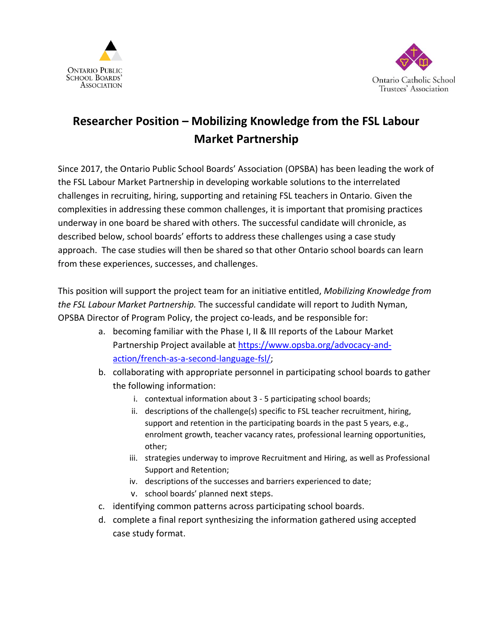



## **Researcher Position – Mobilizing Knowledge from the FSL Labour Market Partnership**

Since 2017, the Ontario Public School Boards' Association (OPSBA) has been leading the work of the FSL Labour Market Partnership in developing workable solutions to the interrelated challenges in recruiting, hiring, supporting and retaining FSL teachers in Ontario. Given the complexities in addressing these common challenges, it is important that promising practices underway in one board be shared with others. The successful candidate will chronicle, as described below, school boards' efforts to address these challenges using a case study approach. The case studies will then be shared so that other Ontario school boards can learn from these experiences, successes, and challenges.

This position will support the project team for an initiative entitled, *Mobilizing Knowledge from the FSL Labour Market Partnership.* The successful candidate will report to Judith Nyman, OPSBA Director of Program Policy, the project co-leads, and be responsible for:

- a. becoming familiar with the Phase I, II & III reports of the Labour Market Partnership Project available at [https://www.opsba.org/advocacy-and](https://www.opsba.org/advocacy-and-action/french-as-a-second-language-fsl/)[action/french-as-a-second-language-fsl/;](https://www.opsba.org/advocacy-and-action/french-as-a-second-language-fsl/)
- b. collaborating with appropriate personnel in participating school boards to gather the following information:
	- i. contextual information about 3 5 participating school boards;
	- ii. descriptions of the challenge(s) specific to FSL teacher recruitment, hiring, support and retention in the participating boards in the past 5 years, e.g., enrolment growth, teacher vacancy rates, professional learning opportunities, other;
	- iii. strategies underway to improve Recruitment and Hiring, as well as Professional Support and Retention;
	- iv. descriptions of the successes and barriers experienced to date;
	- v. school boards' planned next steps.
- c. identifying common patterns across participating school boards.
- d. complete a final report synthesizing the information gathered using accepted case study format.